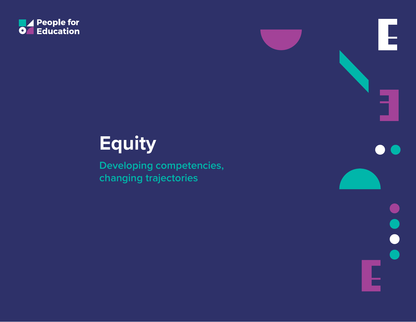

# **Equity**

**Developing competencies, changing trajectories**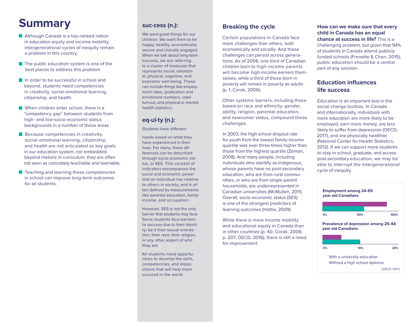# **Summary**

- **Although Canada is a top-ranked nation** in education equity and income mobility. intergenerational cycles of inequity remain a problem in this country.
- $\blacksquare$  The public education system is one of the best places to address this problem.
- In order to be successful in school and beyond, students need competencies in creativity, social-emotional learning, citizenship, and health.
- When children enter school, there is a "competency gap" between students from high- and low-socio-economic status backgrounds in a number of these areas
- **Because competencies in creativity,**  social-emotional learning, citizenship, and health are not articulated as key goals in our education system, nor embedded beyond rhetoric in curriculum, they are often not seen as concretely teachable and learnable.
- **T** Teaching and learning these competencies in school can improve long-term outcomes for all students.

## **suc∙cess (n.):**

We want great things for our children. We want them to be happy, healthy, economically secure and civically engaged. When we talk about long-term success, we are referring to a cluster of measures that represents social, emotional, physical, cognitive, and economic well-being. These can include things like employment rates, graduation and enrollment numbers, voter turnout, and physical or mental health statistics.

# **eq∙ui∙ty (n.):**

Students have different

needs based on what they have experienced in their lives. For many, these differences can be described through socio-economic status, or SES. This cocktail of indicators encompasses the social and economic power that an individual has relative to others in society, and is often defined by measurements like parental education, family income, and occupation.

However, SES is not the only barrier that students may face. Some students face barriers to success due to their identity; be it their sexual orientation, their race, their religion, or any other aspect of who they are.

All students need opportunities to develop the skills, competencies, and dispositions that will help them succeed in the world.

# **Breaking the cycle**

Certain populations in Canada face more challenges than others, both economically and socially. And these challenges can persist across generations. As of 2006, one third of Canadian children born to high-income parents will become high-income earners themselves, while a third of those born in poverty will remain in poverty as adults (p. 1, Corak, 2006).

Other systemic barriers, including those based on race and ethnicity, gender, ability, religion, parental education, and newcomer status, compound these challenges.

In 2003, the high school dropout rate for youth from the lowest family-income quartile was over three times higher than those from the highest quartile (Zeman, 2008). And many people, including individuals who identify as Indigenous, whose parents have no post-secondary education, who are from rural communities, or who are from single-parent households, are underrepresented in Canadian universities (McMullen, 2011). Overall, socio-economic status (SES) is one of the strongest predictors of learning outcomes (Hattie, 2009).

While there is more income mobility and educational equity in Canada than in other countries (p. 40, Corak, 2006; p. 207, OECD, 2016), there is still a need for improvement.

#### **How can we make sure that every child in Canada has an equal chance at success in life?** This is a

challenging problem, but given that 94% of students in Canada attend publicly funded schools (Frenette & Chan, 2015), public education should be a central part of any solution.

## **Education influences life success**

Education is an important tool in the social change toolbox. In Canada and internationally, individuals with more education are more likely to be employed, earn more money, are less likely to suffer from depression (OECD, 2017), and are physically healthier (National Center for Health Statistics, 2012). If we can support more students to stay in school, graduate, and access post-secondary education, we may be able to interrupt the intergenerational cycle of inequity.

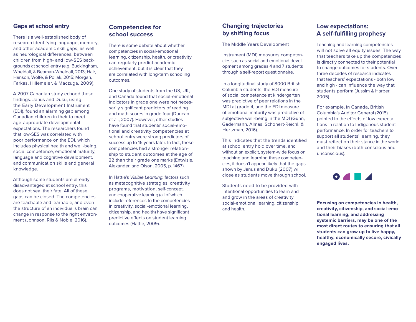#### **Gaps at school entry**

There is a well-established body of research identifying language, memory, and other academic skill gaps, as well as neurological differences, between children from high- and low-SES backgrounds at school entry (e.g. Buckingham, Wheldall, & Beaman-Wheldall, 2013; Hair, Hanson, Wolfe, & Pollak, 2015; Morgan, Farkas, Hillemeier, & Maczuga, 2009).

A 2007 Canadian study echoed these findings. Janus and Duku, using the Early Development Instrument (EDI), found an alarming gap among Canadian children in their to meet age-appropriate developmental expectations. The researchers found that low-SES was correlated with poor performance on the EDI, which includes physical health and well-being, social competence, emotional maturity, language and cognitive development, and communication skills and general knowledge.

Although some students are already disadvantaged at school entry, this does not seal their fate. All of these gaps can be closed. The competencies are teachable and learnable, and even the structure of an individual's brain can change in response to the right environment (Johnson, Riis & Noble, 2016).

# **Competencies for school success**

There is some debate about whether competencies in social-emotional learning, citizenship, health, or creativity can regularly predict academic achievement, but it is clear that they are correlated with long-term schooling outcomes.

One study of students from the US, UK, and Canada found that social-emotional indicators in grade one were not necessarily significant predictors of reading and math scores in grade four (Duncan et al., 2007). However, other studies have found that students' social-emotional and creativity competencies at school entry were strong predictors of success up to 16 years later. In fact, these competencies had a stronger relationship to student outcomes at the age of 22 than their grade one marks (Entwisle, Alexander, and Olson, 2005, p. 1467).

In Hattie's *Visible Learning,* factors such as metacognitive strategies, creativity programs, motivation, self-concept, and cooperative learning (all of which include references to the competencies in creativity, social-emotional learning, citizenship, and health) have significant predictive effects on student learning outcomes (Hattie, 2009).

## **Changing trajectories by shifting focus**

The Middle Years Development

Instrument (MDI) measures competencies such as social and emotional development among grades 4 and 7 students through a self-report questionnaire.

In a longitudinal study of 8000 British Columbia students, the EDI measure of social competence at kindergarten was predictive of peer relations in the MDI at grade 4, and the EDI measure of emotional maturity was predictive of subjective well-being in the MDI (Guhn, Gadermann, Almas, Schonert-Reichl, & Hertzman, 2016).

This indicates that the trends identified at school entry hold over time, and without an explicit, system-wide focus on teaching and learning these competencies, it doesn't appear likely that the gaps shown by Janus and Duku (2007) will close as students move through school.

Students need to be provided with intentional opportunities to learn and and grow in the areas of creativity, social-emotional learning, citizenship, and health.

#### **Low expectations: A self-fulfilling prophesy**

Teaching and learning competencies will not solve all equity issues. The way that teachers take up the competencies is directly connected to their potential to change outcomes for students. Over three decades of research indicates that teachers' expectations - both low and high - can influence the way that students perform (Jussim & Harber, 2005).

For example, in Canada, British Columbia's Auditor General (2015) pointed to the effects of low expectations in relation to Indigenous student performance. In order for teachers to support all students' learning, they must reflect on their stance in the world and their biases (both conscious and unconscious).



**Focusing on competencies in health, creativity, citizenship, and social-emotional learning, and addressing systemic barriers, may be one of the most direct routes to ensuring that all students can grow up to live happy, healthy, economically secure, civically engaged lives.**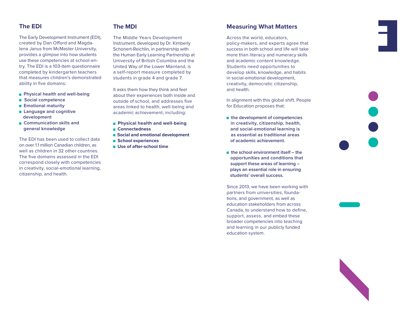#### **The EDI**

The Early Development Instrument (EDI), created by Dan Offord and Magdalena Janus from McMaster University, provides a glimpse into how students use these competencies at school-entry. The EDI is a 103-item questionnaire completed by kindergarten teachers that measures children's demonstrated ability in five domains:

- **Physical health and well-being**
- $\blacksquare$  Social competence
- **Emotional maturity**
- **Language and cognitive development**
- **E** Communication skills and  **general knowledge**

The EDI has been used to collect data on over 1.1 million Canadian children, as well as children in 32 other countries. The five domains assessed in the EDI correspond closely with competencies in creativity, social-emotional learning, citizenship, and health.

#### **The MDI**

The Middle Years Development Instrument, developed by Dr. Kimberly Schonert-Reichlin, in partnership with the Human Early Learning Partnership at University of British Columbia and the United Way of the Lower Mainland, is a self-report measure completed by students in grade 4 and grade 7.

It asks them how they think and feel about their experiences both inside and outside of school, and addresses five areas linked to health, well-being and academic achievement, including:

- **Physical health and well-being**
- **Connectedness**
- $\blacksquare$  Social and emotional development
- **School experiences**
- Use of after-school time

#### **Measuring What Matters**

Across the world, educators, policy-makers, and experts agree that success in both school and life will take more than literacy and numeracy skills and academic content knowledge. Students need opportunities to develop skills, knowledge, and habits in social-emotional development, creativity, democratic citizenship, and health.

In alignment with this global shift, People for Education proposes that:

- the development of competencies  **in creativity, citizenship, health, and social-emotional learning is as essential as traditional areas of academic achievement.**
- **the school environment itself the opportunities and conditions that support these areas of learning – plays an essential role in ensuring students' overall success.**

Since 2013, we have been working with partners from universities, foundations, and government, as well as education stakeholders from across Canada, to understand how to define, support, assess, and embed these broader competencies into teaching and learning in our publicly funded education system.